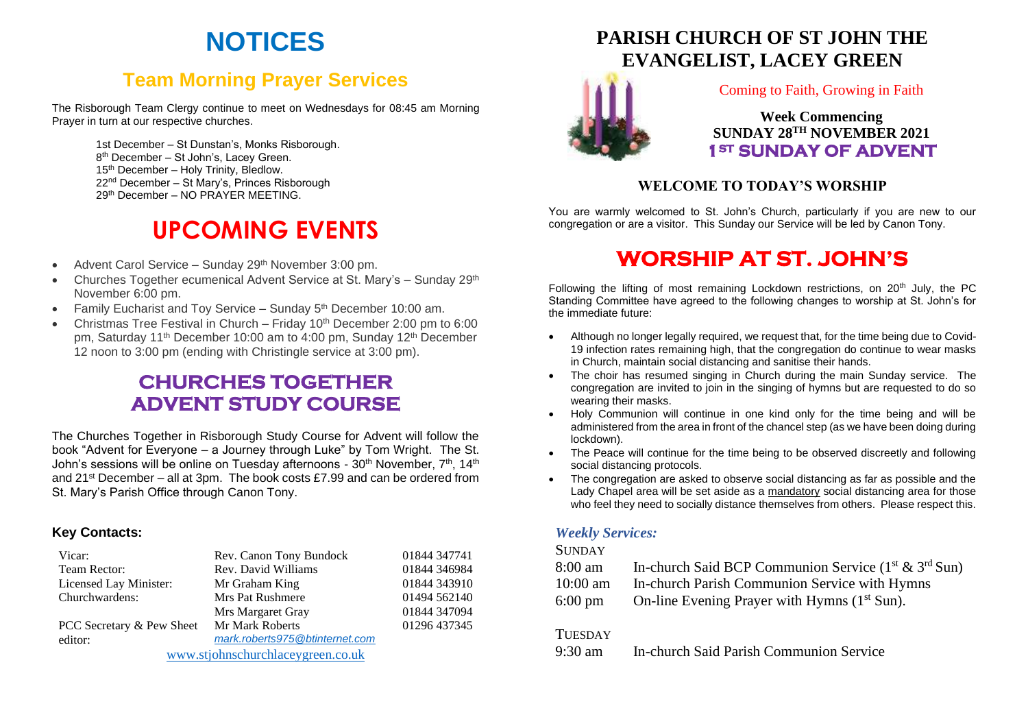# **NOTICES**

## **Team Morning Prayer Services**

The Risborough Team Clergy continue to meet on Wednesdays for 08:45 am Morning Prayer in turn at our respective churches.

> 1st December – St Dunstan's, Monks Risborough. 8 th December – St John's, Lacey Green. 15<sup>th</sup> December – Holy Trinity, Bledlow. 22nd December – St Mary's, Princes Risborough 29th December – NO PRAYER MEETING.

# **UPCOMING EVENTS**

- Advent Carol Service Sunday 29<sup>th</sup> November 3:00 pm.
- Churches Together ecumenical Advent Service at St. Mary's Sunday 29th November 6:00 pm.
- Family Eucharist and Toy Service Sunday 5<sup>th</sup> December 10:00 am.
- Christmas Tree Festival in Church Friday 10th December 2:00 pm to 6:00 pm, Saturday 11<sup>th</sup> December 10:00 am to 4:00 pm, Sunday 12<sup>th</sup> December 12 noon to 3:00 pm (ending with Christingle service at 3:00 pm).

## **CHURCHES TOGETHER ADVENT STUDY COURSE**

The Churches Together in Risborough Study Course for Advent will follow the book "Advent for Everyone – a Journey through Luke" by Tom Wright. The St. John's sessions will be online on Tuesday afternoons - 30<sup>th</sup> November, 7<sup>th</sup>, 14<sup>th</sup> and 21st December – all at 3pm. The book costs £7.99 and can be ordered from St. Mary's Parish Office through Canon Tony.

#### **Key Contacts:**

| Vicar:                            | Rev. Canon Tony Bundock        | 01844 347741 |
|-----------------------------------|--------------------------------|--------------|
| Team Rector:                      | Rev. David Williams            | 01844 346984 |
| Licensed Lay Minister:            | Mr Graham King                 | 01844 343910 |
| Churchwardens:                    | Mrs Pat Rushmere               | 01494 562140 |
|                                   | Mrs Margaret Gray              | 01844 347094 |
| PCC Secretary & Pew Sheet         | Mr Mark Roberts                | 01296 437345 |
| editor:                           | mark.roberts975@btinternet.com |              |
| www.stjohnschurchlaceygreen.co.uk |                                |              |

**PARISH CHURCH OF ST JOHN THE [EVA](http://www.google.co.uk/url?sa=i&rct=j&q=&esrc=s&source=images&cd=&cad=rja&uact=8&ved=2ahUKEwjEwpuc5vveAhXMLFAKHZWDAX8QjRx6BAgBEAU&url=http://standrewsnewmarket.org/event/advent-1/&psig=AOvVaw1ithYkhLBwWSMNeRgEgQtK&ust=1543656356823134)NGELIST, LACEY GREEN**



Coming to Faith, Growing in Faith

**Week Commencing SUNDAY 28 TH NOVEMBER 2021 1ST SUNDAY OF ADVENT** 

#### **WELCOME TO TODAY'S WORSHIP**

You are warmly welcomed to St. John's Church, particularly if you are new to our congregation or are a visitor. This Sunday our Service will be led by Canon Tony.

## **WORSHIP AT ST. JOHN'S**

Following the lifting of most remaining Lockdown restrictions, on  $20<sup>th</sup>$  July, the PC Standing Committee have agreed to the following changes to worship at St. John's for the immediate future:

- Although no longer legally required, we request that, for the time being due to Covid-19 infection rates remaining high, that the congregation do continue to wear masks in Church, maintain social distancing and sanitise their hands.
- The choir has resumed singing in Church during the main Sunday service. The congregation are invited to join in the singing of hymns but are requested to do so wearing their masks.
- Holy Communion will continue in one kind only for the time being and will be administered from the area in front of the chancel step (as we have been doing during lockdown).
- The Peace will continue for the time being to be observed discreetly and following social distancing protocols.
- The congregation are asked to observe social distancing as far as possible and the Lady Chapel area will be set aside as a mandatory social distancing area for those who feel they need to socially distance themselves from others. Please respect this.

#### *Weekly Services:*

#### **SUNDAY**

- 8:00 am In-church Said BCP Communion Service  $(1<sup>st</sup> & 3<sup>rd</sup> Sun)$
- 10:00 am In-church Parish Communion Service with Hymns
- 6:00 pm On-line Evening Prayer with Hymns  $(1<sup>st</sup> Sun)$ .

#### **TUESDAY**

9:30 am In-church Said Parish Communion Service